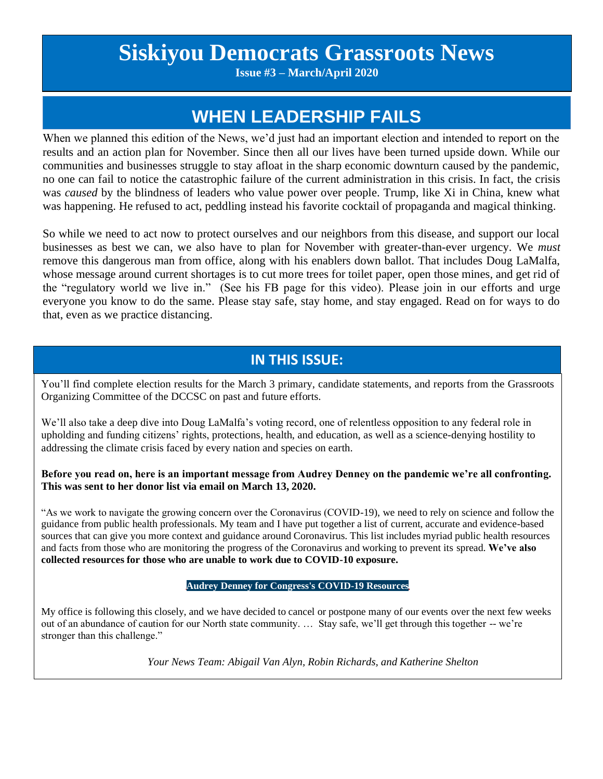# **Siskiyou Democrats Grassroots News**

**Issue #3 – March/April 2020**

# **WHEN LEADERSHIP FAILS**

When we planned this edition of the News, we'd just had an important election and intended to report on the results and an action plan for November. Since then all our lives have been turned upside down. While our communities and businesses struggle to stay afloat in the sharp economic downturn caused by the pandemic, no one can fail to notice the catastrophic failure of the current administration in this crisis. In fact, the crisis was *caused* by the blindness of leaders who value power over people. Trump, like Xi in China, knew what was happening. He refused to act, peddling instead his favorite cocktail of propaganda and magical thinking.

So while we need to act now to protect ourselves and our neighbors from this disease, and support our local businesses as best we can, we also have to plan for November with greater-than-ever urgency. We *must* remove this dangerous man from office, along with his enablers down ballot. That includes Doug LaMalfa, whose message around current shortages is to cut more trees for toilet paper, open those mines, and get rid of the "regulatory world we live in." (See his FB page for this video). Please join in our efforts and urge everyone you know to do the same. Please stay safe, stay home, and stay engaged. Read on for ways to do that, even as we practice distancing.

### **IN THIS ISSUE:**

You'll find complete election results for the March 3 primary, candidate statements, and reports from the Grassroots Organizing Committee of the DCCSC on past and future efforts.

We'll also take a deep dive into Doug LaMalfa's voting record, one of relentless opposition to any federal role in upholding and funding citizens' rights, protections, health, and education, as well as a science-denying hostility to addressing the climate crisis faced by every nation and species on earth.

**Before you read on, here is an important message from Audrey Denney on the pandemic we're all confronting. This was sent to her donor list via email on March 13, 2020.**

"As we work to navigate the growing concern over the Coronavirus (COVID-19), we need to rely on science and follow the guidance from public health professionals. My team and I have put together a list of current, accurate and evidence-based sources that can give you more context and guidance around Coronavirus. This list includes myriad public health resources and facts from those who are monitoring the progress of the Coronavirus and working to prevent its spread. **We've also collected resources for those who are unable to work due to COVID-10 exposure.**

#### **Audrey Denney for Congress's [COVID-19](http://links.audreyforcongress.com/u/click?_t=432fee2be742490b974e955c24a70f5c&_m=1c05e2e52369489fa0c4c5602f248445&_e=dh-jmBME3XyKX9VnjZ8pFbmJMRFHI7aBMh1aFVNT4G2rGRo0jOTLvUvK6ibQZayJfdLurIsQYvcXnJAH1N2NA5v6JVw40q9EX83QnpOzDdB7r0HRxhpkRIR9s9fqkLRJjLY83Do23t65-mFGQUMe9vGwr1WS17NaDJcXn99m2muLN6HXz0o75Jsr4QfPKp07Xl2biimbj_j_pK2gkfKjjWeyhccX0Kkl-WWHJpGtH8TAxGPQZj0jMk5a7UxmGdAocfiZKqGvWhoNsdAMS6pxO7Ftw59TLN7fcBucGJah_HABZQkFtYERcoRg22IWQpXsTDppzD6rivIZIzEPJXhZNhesDQel0wl7-dcYWOfmMwV8fEP4ysUIiMhqbQA35VNE) Resources**

My office is following this closely, and we have decided to cancel or postpone many of our events over the next few weeks out of an abundance of caution for our North state community. … Stay safe, we'll get through this together -- we're stronger than this challenge."

*Your News Team: Abigail Van Alyn, Robin Richards, and Katherine Shelton*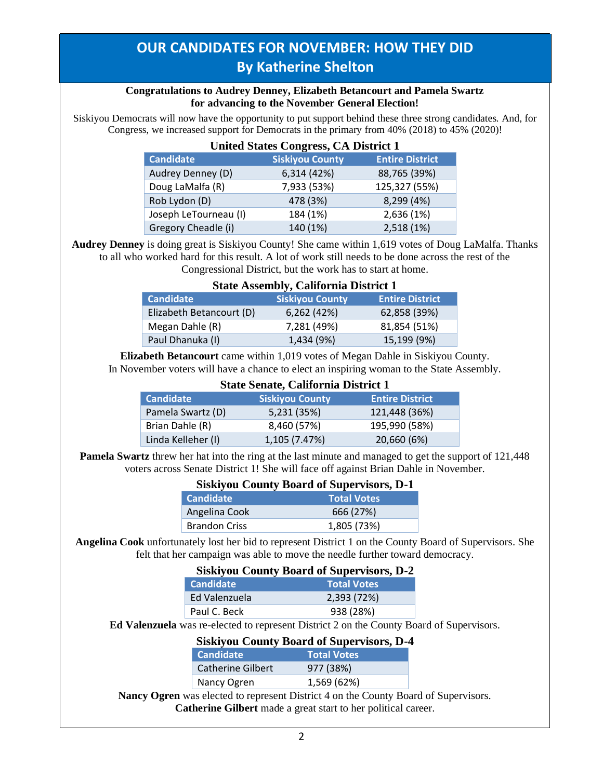# **OUR CANDIDATES FOR NOVEMBER: HOW THEY DID By Katherine Shelton**

#### **Congratulations to Audrey Denney, Elizabeth Betancourt and Pamela Swartz for advancing to the November General Election!**

Siskiyou Democrats will now have the opportunity to put support behind these three strong candidates. And, for Congress, we increased support for Democrats in the primary from 40% (2018) to 45% (2020)!

| <b>United States Congress, CA District 1</b> |                        |                        |
|----------------------------------------------|------------------------|------------------------|
| <b>Candidate</b>                             | <b>Siskiyou County</b> | <b>Entire District</b> |
| Audrey Denney (D)                            | 6,314 (42%)            | 88,765 (39%)           |
| Doug LaMalfa (R)                             | 7,933 (53%)            | 125,327 (55%)          |
| Rob Lydon (D)                                | 478 (3%)               | 8,299 (4%)             |
| Joseph LeTourneau (I)                        | 184 (1%)               | 2,636 (1%)             |
| Gregory Cheadle (i)                          | 140 (1%)               | 2,518 (1%)             |

#### **Audrey Denney** is doing great is Siskiyou County! She came within 1,619 votes of Doug LaMalfa. Thanks to all who worked hard for this result. A lot of work still needs to be done across the rest of the Congressional District, but the work has to start at home.

| <b>State Assembly, California District 1</b> |  |  |
|----------------------------------------------|--|--|
|                                              |  |  |

| <b>Candidate</b>         | <b>Siskiyou County</b> | <b>Entire District</b> |
|--------------------------|------------------------|------------------------|
| Elizabeth Betancourt (D) | 6,262(42%)             | 62,858 (39%)           |
| Megan Dahle (R)          | 7,281 (49%)            | 81,854 (51%)           |
| Paul Dhanuka (I)         | 1,434 (9%)             | 15,199 (9%)            |

**Elizabeth Betancourt** came within 1,019 votes of Megan Dahle in Siskiyou County. In November voters will have a chance to elect an inspiring woman to the State Assembly.

| <b>State Senate, California District 1</b> |                        |                        |
|--------------------------------------------|------------------------|------------------------|
| <b>Candidate</b>                           | <b>Siskiyou County</b> | <b>Entire District</b> |
| Pamela Swartz (D)                          | 5,231 (35%)            | 121,448 (36%)          |
| Brian Dahle (R)                            | 8,460 (57%)            | 195,990 (58%)          |
| Linda Kelleher (I)                         | 1,105 (7.47%)          | 20,660 (6%)            |

**Pamela Swartz** threw her hat into the ring at the last minute and managed to get the support of 121,448 voters across Senate District 1! She will face off against Brian Dahle in November.

| <b>Siskiyou County Board of Supervisors, D-1</b> |                    |
|--------------------------------------------------|--------------------|
| <b>Candidate</b>                                 | <b>Total Votes</b> |
| Angelina Cook                                    | 666 (27%)          |
| <b>Brandon Criss</b>                             | 1,805 (73%)        |

**Angelina Cook** unfortunately lost her bid to represent District 1 on the County Board of Supervisors. She felt that her campaign was able to move the needle further toward democracy.

| <b>Siskiyou County Board of Supervisors, D-2</b> |                    |
|--------------------------------------------------|--------------------|
| <b>Candidate</b>                                 | <b>Total Votes</b> |
| Ed Valenzuela                                    | 2,393 (72%)        |
| Paul C. Beck                                     | 938 (28%)          |
|                                                  |                    |

**Ed Valenzuela** was re-elected to represent District 2 on the County Board of Supervisors.

|                          | <b>Siskiyou County Board of Supervisors, D-4</b> |
|--------------------------|--------------------------------------------------|
| <b>Candidate</b>         | <b>Total Votes</b>                               |
| <b>Catherine Gilbert</b> | 977 (38%)                                        |
| Nancy Ogren              | 1,569 (62%)                                      |

**Nancy Ogren** was elected to represent District 4 on the County Board of Supervisors. **Catherine Gilbert** made a great start to her political career.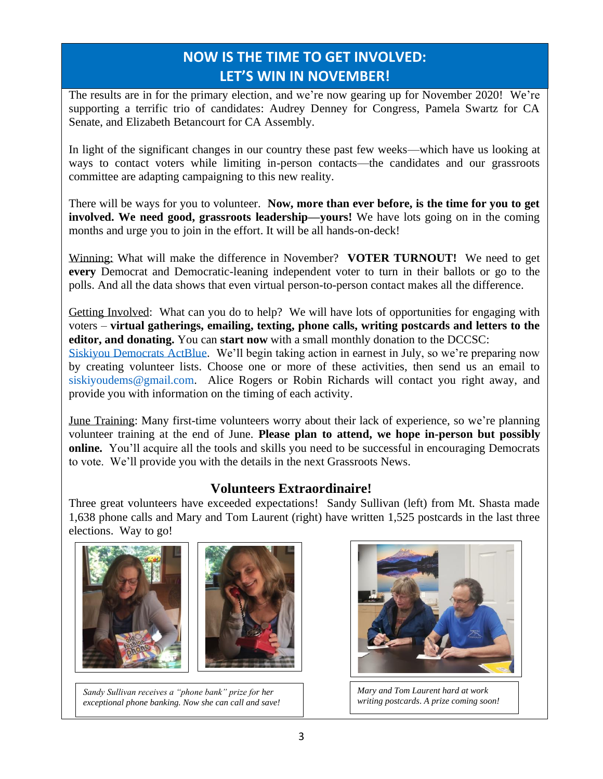# **NOW IS THE TIME TO GET INVOLVED: LET'S WIN IN NOVEMBER!**

The results are in for the primary election, and we're now gearing up for November 2020! We're supporting a terrific trio of candidates: Audrey Denney for Congress, Pamela Swartz for CA Senate, and Elizabeth Betancourt for CA Assembly.

In light of the significant changes in our country these past few weeks—which have us looking at ways to contact voters while limiting in-person contacts—the candidates and our grassroots committee are adapting campaigning to this new reality.

There will be ways for you to volunteer. **Now, more than ever before, is the time for you to get involved. We need good, grassroots leadership—yours!** We have lots going on in the coming months and urge you to join in the effort. It will be all hands-on-deck!

Winning: What will make the difference in November? **VOTER TURNOUT!** We need to get **every** Democrat and Democratic-leaning independent voter to turn in their ballots or go to the polls. And all the data shows that even virtual person-to-person contact makes all the difference.

Getting Involved: What can you do to help? We will have lots of opportunities for engaging with voters – **virtual gatherings, emailing, texting, phone calls, writing postcards and letters to the editor, and donating.** You can **start now** with a small monthly donation to the DCCSC:

[Siskiyou Democrats ActBlue.](https://secure.actblue.com/donate/democratic-central-committee-of-siskiyou-county-federal-1) We'll begin taking action in earnest in July, so we're preparing now by creating volunteer lists. Choose one or more of these activities, then send us an email to [siskiyoudems@gmail.com.](mailto:siskiyoudems@gmail.com) Alice Rogers or Robin Richards will contact you right away, and provide you with information on the timing of each activity.

June Training: Many first-time volunteers worry about their lack of experience, so we're planning volunteer training at the end of June. **Please plan to attend, we hope in-person but possibly online.** You'll acquire all the tools and skills you need to be successful in encouraging Democrats to vote. We'll provide you with the details in the next Grassroots News.

### **Volunteers Extraordinaire!**

Three great volunteers have exceeded expectations! Sandy Sullivan (left) from Mt. Shasta made 1,638 phone calls and Mary and Tom Laurent (right) have written 1,525 postcards in the last three elections. Way to go!



*Sandy Sullivan receives a "phone bank" prize for her exceptional phone banking. Now she can call and save!*



*Mary and Tom Laurent hard at work writing postcards*. *A prize coming soon!*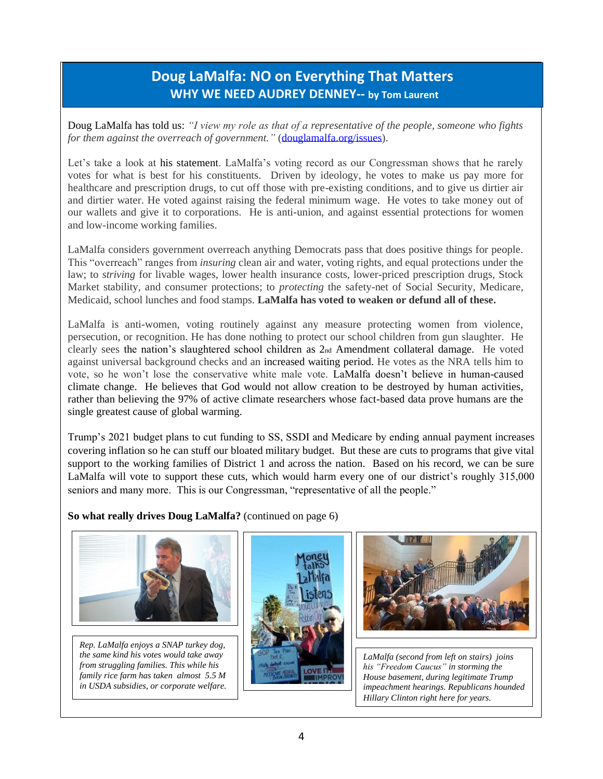### **Doug LaMalfa: NO on Everything That Matters WHY WE NEED AUDREY DENNEY-- by Tom Laurent**

Doug LaMalfa has told us: *"I view my role as that of a representative of the people, someone who fights for them against the overreach of government."* [\(douglamalfa.org/issues\)](javascript:pl_openIFrame().

Let's take a look at his statement. LaMalfa's voting record as our Congressman shows that he rarely votes for what is best for his constituents. Driven by ideology, he votes to make us pay more for healthcare and prescription drugs, to cut off those with pre-existing conditions, and to give us dirtier air and dirtier water. He voted against raising the federal minimum wage. He votes to take money out of our wallets and give it to corporations. He is anti-union, and against essential protections for women and low-income working families.

LaMalfa considers government overreach anything Democrats pass that does positive things for people. This "overreach" ranges from *insuring* clean air and water, voting rights, and equal protections under the law; to *striving* for livable wages, lower health insurance costs, lower-priced prescription drugs, Stock Market stability, and consumer protections; to *protecting* the safety-net of Social Security, Medicare, Medicaid, school lunches and food stamps. **LaMalfa has voted to weaken or defund all of these.**

LaMalfa is anti-women, voting routinely against any measure protecting women from violence, persecution, or recognition. He has done nothing to protect our school children from gun slaughter. He clearly sees the nation's slaughtered school children as 2nd Amendment collateral damage. He voted against universal background checks and an increased waiting period. He votes as the NRA tells him to vote, so he won't lose the conservative white male vote. LaMalfa doesn't believe in human-caused climate change. He believes that God would not allow creation to be destroyed by human activities, rather than believing the 97% of active climate researchers whose fact-based data prove humans are the single greatest cause of global warming.

Trump's 2021 budget plans to cut funding to SS, SSDI and Medicare by ending annual payment increases covering inflation so he can stuff our bloated military budget. But these are cuts to programs that give vital support to the working families of District 1 and across the nation. Based on his record, we can be sure LaMalfa will vote to support these cuts, which would harm every one of our district's roughly 315,000 seniors and many more. This is our Congressman, "representative of all the people."

**So what really drives Doug LaMalfa?** (continued on page 6)



*Rep. LaMalfa enjoys a SNAP turkey dog, the same kind his votes would take away from struggling families. This while his family rice farm has taken almost 5.5 M in USDA subsidies, or corporate welfare.*





*LaMalfa (second from left on stairs) joins his "Freedom Caucus" in storming the House basement, during legitimate Trump impeachment hearings. Republicans hounded Hillary Clinton right here for years.*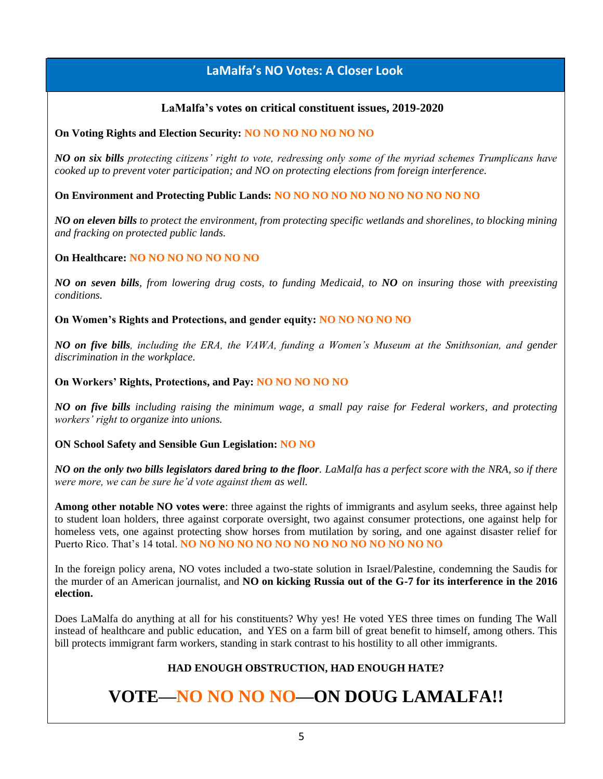### **LaMalfa's NO Votes: A Closer Look**

#### **LaMalfa's votes on critical constituent issues, 2019-2020**

#### **On Voting Rights and Election Security: NO NO NO NO NO NO NO**

*NO on six bills protecting citizens' right to vote, redressing only some of the myriad schemes Trumplicans have cooked up to prevent voter participation; and NO on protecting elections from foreign interference.*

**On Environment and Protecting Public Lands: NO NO NO NO NO NO NO NO NO NO NO**

*NO on eleven bills to protect the environment, from protecting specific wetlands and shorelines, to blocking mining and fracking on protected public lands.*

#### **On Healthcare: NO NO NO NO NO NO NO**

*NO on seven bills, from lowering drug costs, to funding Medicaid, to NO on insuring those with preexisting conditions.*

**On Women's Rights and Protections, and gender equity: NO NO NO NO NO**

*NO on five bills, including the ERA, the VAWA, funding a Women's Museum at the Smithsonian, and gender discrimination in the workplace.*

#### **On Workers' Rights, Protections, and Pay: NO NO NO NO NO**

*NO on five bills including raising the minimum wage, a small pay raise for Federal workers, and protecting workers' right to organize into unions.*

#### **ON School Safety and Sensible Gun Legislation: NO NO**

*NO on the only two bills legislators dared bring to the floor. LaMalfa has a perfect score with the NRA, so if there were more, we can be sure he'd vote against them as well.*

**Among other notable NO votes were**: three against the rights of immigrants and asylum seeks, three against help to student loan holders, three against corporate oversight, two against consumer protections, one against help for homeless vets, one against protecting show horses from mutilation by soring, and one against disaster relief for Puerto Rico. That's 14 total. **NO NO NO NO NO NO NO NO NO NO NO NO NO NO**

In the foreign policy arena, NO votes included a two-state solution in Israel/Palestine, condemning the Saudis for the murder of an American journalist, and **NO on kicking Russia out of the G-7 for its interference in the 2016 election.**

Does LaMalfa do anything at all for his constituents? Why yes! He voted YES three times on funding The Wall instead of healthcare and public education, and YES on a farm bill of great benefit to himself, among others. This bill protects immigrant farm workers, standing in stark contrast to his hostility to all other immigrants.

#### **HAD ENOUGH OBSTRUCTION, HAD ENOUGH HATE?**

# **VOTE—NO NO NO NO—ON DOUG LAMALFA!!**